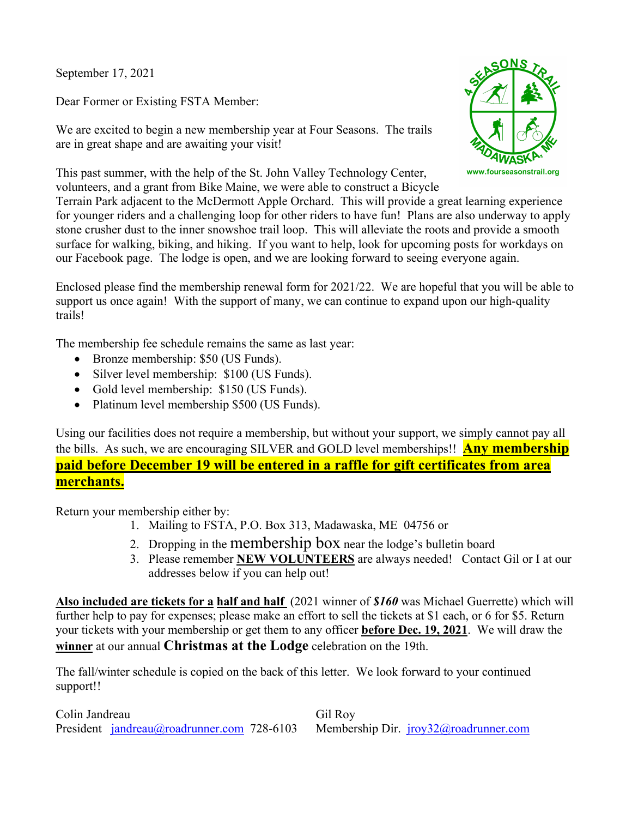September 17, 2021

Dear Former or Existing FSTA Member:

We are excited to begin a new membership year at Four Seasons. The trails are in great shape and are awaiting your visit!

This past summer, with the help of the St. John Valley Technology Center, volunteers, and a grant from Bike Maine, we were able to construct a Bicycle



Terrain Park adjacent to the McDermott Apple Orchard. This will provide a great learning experience for younger riders and a challenging loop for other riders to have fun! Plans are also underway to apply stone crusher dust to the inner snowshoe trail loop. This will alleviate the roots and provide a smooth surface for walking, biking, and hiking. If you want to help, look for upcoming posts for workdays on our Facebook page. The lodge is open, and we are looking forward to seeing everyone again.

Enclosed please find the membership renewal form for 2021/22. We are hopeful that you will be able to support us once again! With the support of many, we can continue to expand upon our high-quality trails!

The membership fee schedule remains the same as last year:

- Bronze membership: \$50 (US Funds).
- Silver level membership: \$100 (US Funds).
- Gold level membership: \$150 (US Funds).
- Platinum level membership \$500 (US Funds).

Using our facilities does not require a membership, but without your support, we simply cannot pay all the bills. As such, we are encouraging SILVER and GOLD level memberships!! **Any membership paid before December 19 will be entered in a raffle for gift certificates from area merchants.**

Return your membership either by:

- 1. Mailing to FSTA, P.O. Box 313, Madawaska, ME 04756 or
- 2. Dropping in the membership box near the lodge's bulletin board
- 3. Please remember **NEW VOLUNTEERS** are always needed! Contact Gil or I at our addresses below if you can help out!

**Also included are tickets for a half and half** (2021 winner of *\$160* was Michael Guerrette) which will further help to pay for expenses; please make an effort to sell the tickets at \$1 each, or 6 for \$5. Return your tickets with your membership or get them to any officer **before Dec. 19, 2021**. We will draw the **winner** at our annual **Christmas at the Lodge** celebration on the 19th.

The fall/winter schedule is copied on the back of this letter. We look forward to your continued support!!

Colin Jandreau Gil Roy President jandreau@roadrunner.com 728-6103 Membership Dir. jroy32@roadrunner.com